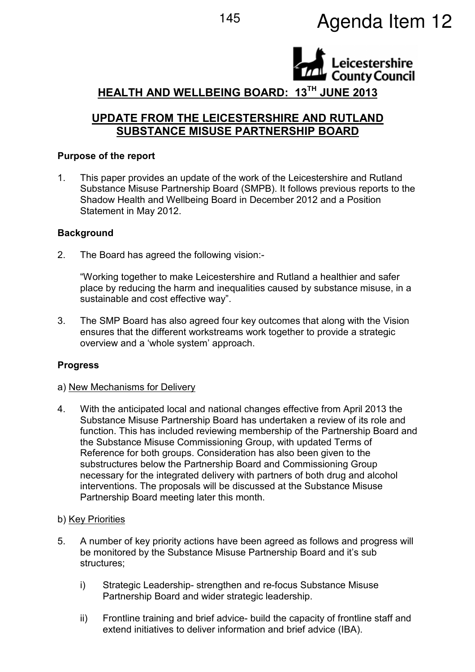

# HEALTH AND WELLBEING BOARD: 13TH JUNE 2013

# UPDATE FROM THE LEICESTERSHIRE AND RUTLAND SUBSTANCE MISUSE PARTNERSHIP BOARD

## Purpose of the report

1. This paper provides an update of the work of the Leicestershire and Rutland Substance Misuse Partnership Board (SMPB). It follows previous reports to the Shadow Health and Wellbeing Board in December 2012 and a Position Statement in May 2012.

#### **Background**

2. The Board has agreed the following vision:-

"Working together to make Leicestershire and Rutland a healthier and safer place by reducing the harm and inequalities caused by substance misuse, in a sustainable and cost effective way".

3. The SMP Board has also agreed four key outcomes that along with the Vision ensures that the different workstreams work together to provide a strategic overview and a 'whole system' approach.

# **Progress**

#### a) New Mechanisms for Delivery

4. With the anticipated local and national changes effective from April 2013 the Substance Misuse Partnership Board has undertaken a review of its role and function. This has included reviewing membership of the Partnership Board and the Substance Misuse Commissioning Group, with updated Terms of Reference for both groups. Consideration has also been given to the substructures below the Partnership Board and Commissioning Group necessary for the integrated delivery with partners of both drug and alcohol interventions. The proposals will be discussed at the Substance Misuse Partnership Board meeting later this month.

#### b) Key Priorities

- 5. A number of key priority actions have been agreed as follows and progress will be monitored by the Substance Misuse Partnership Board and it's sub structures;
	- i) Strategic Leadership- strengthen and re-focus Substance Misuse Partnership Board and wider strategic leadership.
	- ii) Frontline training and brief advice- build the capacity of frontline staff and extend initiatives to deliver information and brief advice (IBA).